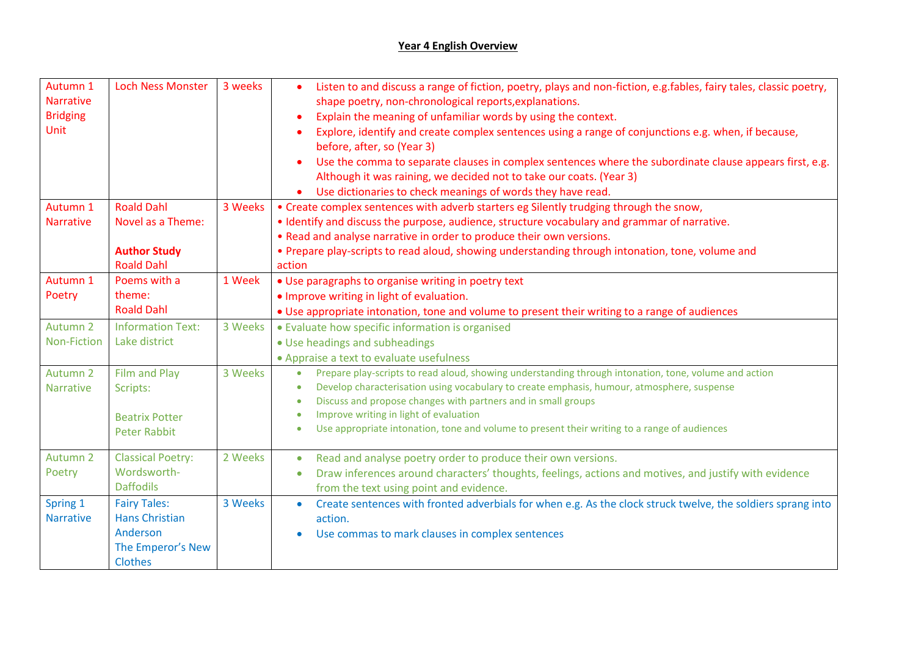## **Year 4 English Overview**

| Autumn 1<br><b>Narrative</b><br><b>Bridging</b><br><b>Unit</b> | <b>Loch Ness Monster</b>                                                                 | 3 weeks | Listen to and discuss a range of fiction, poetry, plays and non-fiction, e.g.fables, fairy tales, classic poetry,<br>shape poetry, non-chronological reports, explanations.<br>Explain the meaning of unfamiliar words by using the context.<br>Explore, identify and create complex sentences using a range of conjunctions e.g. when, if because,<br>before, after, so (Year 3)<br>Use the comma to separate clauses in complex sentences where the subordinate clause appears first, e.g.<br>Although it was raining, we decided not to take our coats. (Year 3)<br>Use dictionaries to check meanings of words they have read.<br>$\bullet$ |
|----------------------------------------------------------------|------------------------------------------------------------------------------------------|---------|-------------------------------------------------------------------------------------------------------------------------------------------------------------------------------------------------------------------------------------------------------------------------------------------------------------------------------------------------------------------------------------------------------------------------------------------------------------------------------------------------------------------------------------------------------------------------------------------------------------------------------------------------|
| Autumn 1<br><b>Narrative</b>                                   | <b>Roald Dahl</b><br>Novel as a Theme:<br><b>Author Study</b>                            | 3 Weeks | • Create complex sentences with adverb starters eg Silently trudging through the snow,<br>. Identify and discuss the purpose, audience, structure vocabulary and grammar of narrative.<br>. Read and analyse narrative in order to produce their own versions.<br>• Prepare play-scripts to read aloud, showing understanding through intonation, tone, volume and                                                                                                                                                                                                                                                                              |
| Autumn 1<br>Poetry                                             | <b>Roald Dahl</b><br>Poems with a<br>theme:<br><b>Roald Dahl</b>                         | 1 Week  | action<br>• Use paragraphs to organise writing in poetry text<br>• Improve writing in light of evaluation.<br>• Use appropriate intonation, tone and volume to present their writing to a range of audiences                                                                                                                                                                                                                                                                                                                                                                                                                                    |
| Autumn 2<br><b>Non-Fiction</b>                                 | <b>Information Text:</b><br>Lake district                                                | 3 Weeks | • Evaluate how specific information is organised<br>• Use headings and subheadings<br>• Appraise a text to evaluate usefulness                                                                                                                                                                                                                                                                                                                                                                                                                                                                                                                  |
| Autumn 2<br><b>Narrative</b>                                   | <b>Film and Play</b><br>Scripts:<br><b>Beatrix Potter</b><br><b>Peter Rabbit</b>         | 3 Weeks | Prepare play-scripts to read aloud, showing understanding through intonation, tone, volume and action<br>$\bullet$<br>Develop characterisation using vocabulary to create emphasis, humour, atmosphere, suspense<br>$\bullet$<br>Discuss and propose changes with partners and in small groups<br>Improve writing in light of evaluation<br>$\bullet$<br>Use appropriate intonation, tone and volume to present their writing to a range of audiences<br>$\bullet$                                                                                                                                                                              |
| Autumn 2<br>Poetry                                             | <b>Classical Poetry:</b><br>Wordsworth-<br><b>Daffodils</b>                              | 2 Weeks | Read and analyse poetry order to produce their own versions.<br>$\bullet$<br>Draw inferences around characters' thoughts, feelings, actions and motives, and justify with evidence<br>$\bullet$<br>from the text using point and evidence.                                                                                                                                                                                                                                                                                                                                                                                                      |
| Spring 1<br><b>Narrative</b>                                   | <b>Fairy Tales:</b><br><b>Hans Christian</b><br>Anderson<br>The Emperor's New<br>Clothes | 3 Weeks | Create sentences with fronted adverbials for when e.g. As the clock struck twelve, the soldiers sprang into<br>$\bullet$<br>action.<br>Use commas to mark clauses in complex sentences                                                                                                                                                                                                                                                                                                                                                                                                                                                          |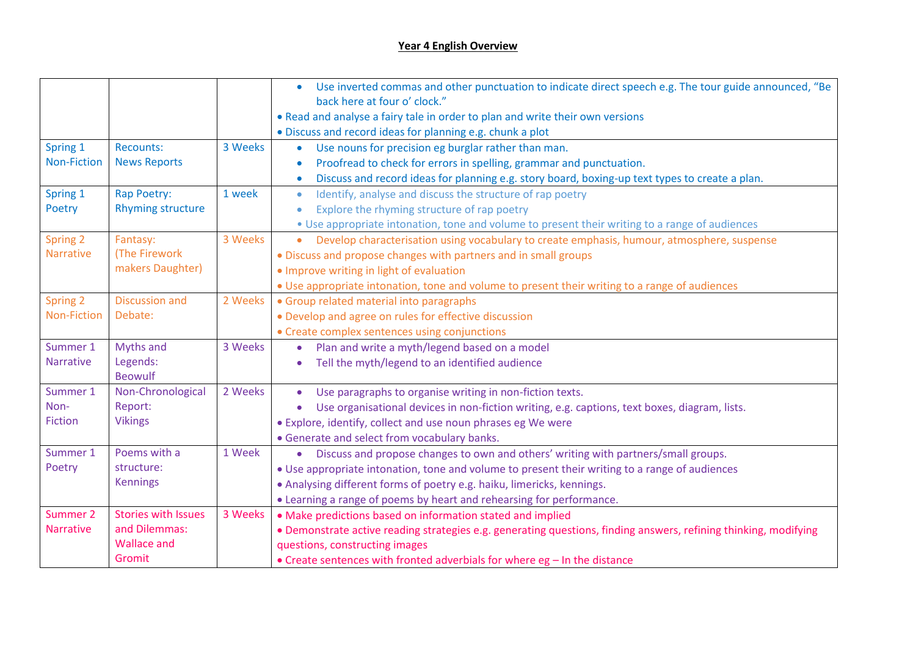## **Year 4 English Overview**

|                                |                            |         | Use inverted commas and other punctuation to indicate direct speech e.g. The tour guide announced, "Be<br>$\bullet$<br>back here at four o' clock." |
|--------------------------------|----------------------------|---------|-----------------------------------------------------------------------------------------------------------------------------------------------------|
|                                |                            |         |                                                                                                                                                     |
|                                |                            |         | • Read and analyse a fairy tale in order to plan and write their own versions                                                                       |
|                                | Recounts:                  | 3 Weeks | • Discuss and record ideas for planning e.g. chunk a plot                                                                                           |
| Spring 1<br><b>Non-Fiction</b> |                            |         | Use nouns for precision eg burglar rather than man.<br>$\bullet$                                                                                    |
|                                | <b>News Reports</b>        |         | Proofread to check for errors in spelling, grammar and punctuation.                                                                                 |
|                                |                            |         | Discuss and record ideas for planning e.g. story board, boxing-up text types to create a plan.<br>$\bullet$                                         |
| Spring 1                       | Rap Poetry:                | 1 week  | Identify, analyse and discuss the structure of rap poetry<br>$\bullet$                                                                              |
| Poetry                         | <b>Rhyming structure</b>   |         | Explore the rhyming structure of rap poetry                                                                                                         |
|                                |                            |         | . Use appropriate intonation, tone and volume to present their writing to a range of audiences                                                      |
| <b>Spring 2</b>                | Fantasy:                   | 3 Weeks | Develop characterisation using vocabulary to create emphasis, humour, atmosphere, suspense<br>$\bullet$                                             |
| <b>Narrative</b>               | (The Firework              |         | • Discuss and propose changes with partners and in small groups                                                                                     |
|                                | makers Daughter)           |         | . Improve writing in light of evaluation                                                                                                            |
|                                |                            |         | . Use appropriate intonation, tone and volume to present their writing to a range of audiences                                                      |
| Spring 2                       | <b>Discussion and</b>      | 2 Weeks | • Group related material into paragraphs                                                                                                            |
| <b>Non-Fiction</b>             | Debate:                    |         | • Develop and agree on rules for effective discussion                                                                                               |
|                                |                            |         | • Create complex sentences using conjunctions                                                                                                       |
| Summer 1                       | Myths and                  | 3 Weeks | Plan and write a myth/legend based on a model<br>$\bullet$                                                                                          |
| <b>Narrative</b>               | Legends:                   |         | Tell the myth/legend to an identified audience                                                                                                      |
|                                | <b>Beowulf</b>             |         |                                                                                                                                                     |
| Summer 1                       | Non-Chronological          | 2 Weeks | Use paragraphs to organise writing in non-fiction texts.                                                                                            |
| Non-                           | Report:                    |         | Use organisational devices in non-fiction writing, e.g. captions, text boxes, diagram, lists.<br>$\bullet$                                          |
| <b>Fiction</b>                 | <b>Vikings</b>             |         | • Explore, identify, collect and use noun phrases eg We were                                                                                        |
|                                |                            |         | • Generate and select from vocabulary banks.                                                                                                        |
| Summer 1                       | Poems with a               | 1 Week  | • Discuss and propose changes to own and others' writing with partners/small groups.                                                                |
| Poetry                         | structure:                 |         | • Use appropriate intonation, tone and volume to present their writing to a range of audiences                                                      |
|                                | <b>Kennings</b>            |         | • Analysing different forms of poetry e.g. haiku, limericks, kennings.                                                                              |
|                                |                            |         | • Learning a range of poems by heart and rehearsing for performance.                                                                                |
| Summer 2                       | <b>Stories with Issues</b> | 3 Weeks | • Make predictions based on information stated and implied                                                                                          |
| <b>Narrative</b>               | and Dilemmas:              |         | • Demonstrate active reading strategies e.g. generating questions, finding answers, refining thinking, modifying                                    |
|                                | <b>Wallace and</b>         |         | questions, constructing images                                                                                                                      |
|                                | Gromit                     |         | • Create sentences with fronted adverbials for where eg - In the distance                                                                           |